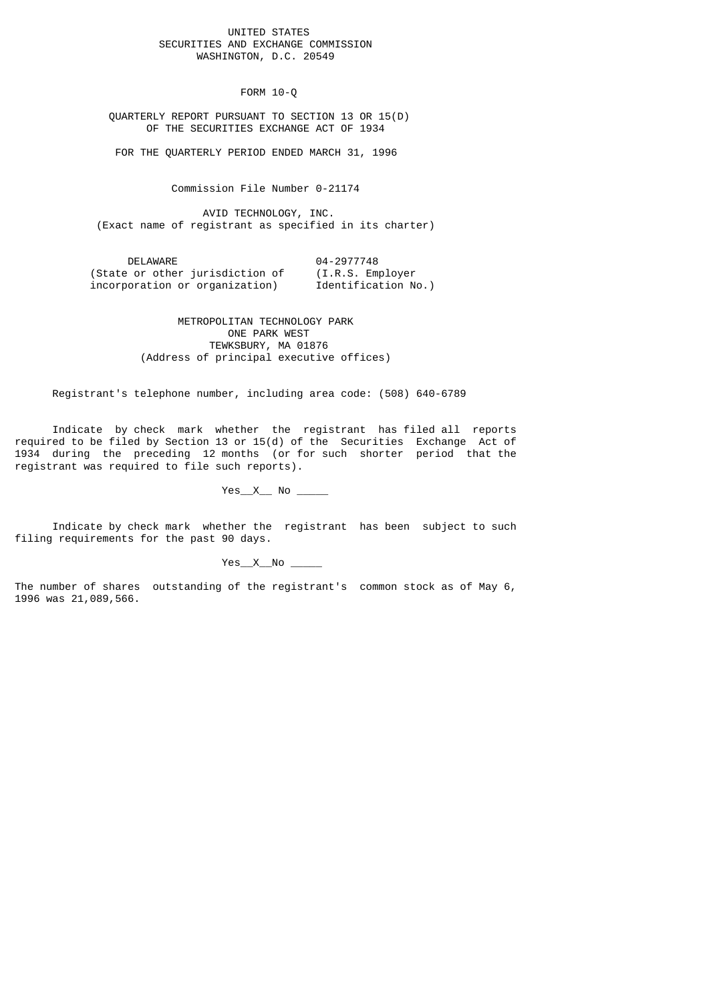#### UNITED STATES SECURITIES AND EXCHANGE COMMISSION WASHINGTON, D.C. 20549

FORM 10-Q

 QUARTERLY REPORT PURSUANT TO SECTION 13 OR 15(D) OF THE SECURITIES EXCHANGE ACT OF 1934

FOR THE QUARTERLY PERIOD ENDED MARCH 31, 1996

Commission File Number 0-21174

 AVID TECHNOLOGY, INC. (Exact name of registrant as specified in its charter)

| DELAWARE                        | 04-2977748          |
|---------------------------------|---------------------|
| (State or other jurisdiction of | (I.R.S. Employer)   |
| incorporation or organization)  | Identification No.) |

 METROPOLITAN TECHNOLOGY PARK ONE PARK WEST TEWKSBURY, MA 01876 (Address of principal executive offices)

Registrant's telephone number, including area code: (508) 640-6789

 Indicate by check mark whether the registrant has filed all reports required to be filed by Section 13 or 15(d) of the Securities Exchange Act of 1934 during the preceding 12 months (or for such shorter period that the registrant was required to file such reports).

 $Yes\_X$  No  $\_$ 

 Indicate by check mark whether the registrant has been subject to such filing requirements for the past 90 days.

Yes\_\_X\_\_No \_\_\_\_\_

The number of shares outstanding of the registrant's common stock as of May 6, 1996 was 21,089,566.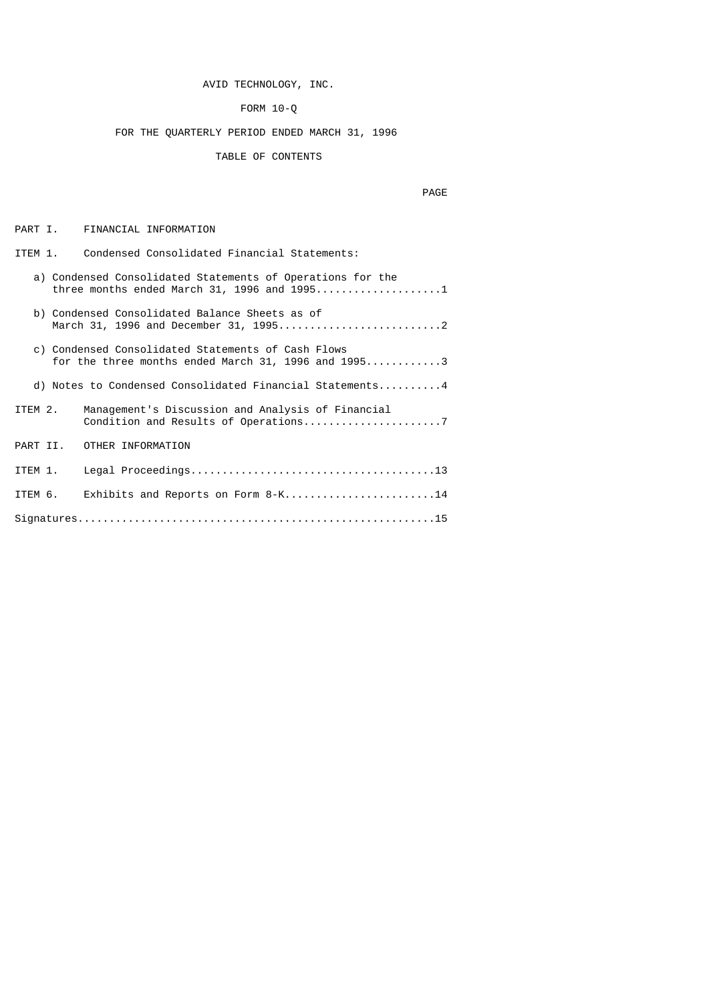## AVID TECHNOLOGY, INC.

# FORM 10-Q

# FOR THE QUARTERLY PERIOD ENDED MARCH 31, 1996

## TABLE OF CONTENTS

#### page of the control of the control of the control of the control of the control of the control of the control of the control of the control of the control of the control of the control of the control of the control of the

## PART I. FINANCIAL INFORMATION

## ITEM 1. Condensed Consolidated Financial Statements:

| a) Condensed Consolidated Statements of Operations for the<br>three months ended March 31, 1996 and $1995$ 1 |
|--------------------------------------------------------------------------------------------------------------|
| b) Condensed Consolidated Balance Sheets as of                                                               |
| c) Condensed Consolidated Statements of Cash Flows<br>for the three months ended March 31, 1996 and $1995$ 3 |
| d) Notes to Condensed Consolidated Financial Statements4                                                     |
| Management's Discussion and Analysis of Financial<br>ITEM 2.                                                 |
| PART II. OTHER INFORMATION                                                                                   |
| ITEM 1.                                                                                                      |
| ITEM 6. Exhibits and Reports on Form 8-K14                                                                   |
|                                                                                                              |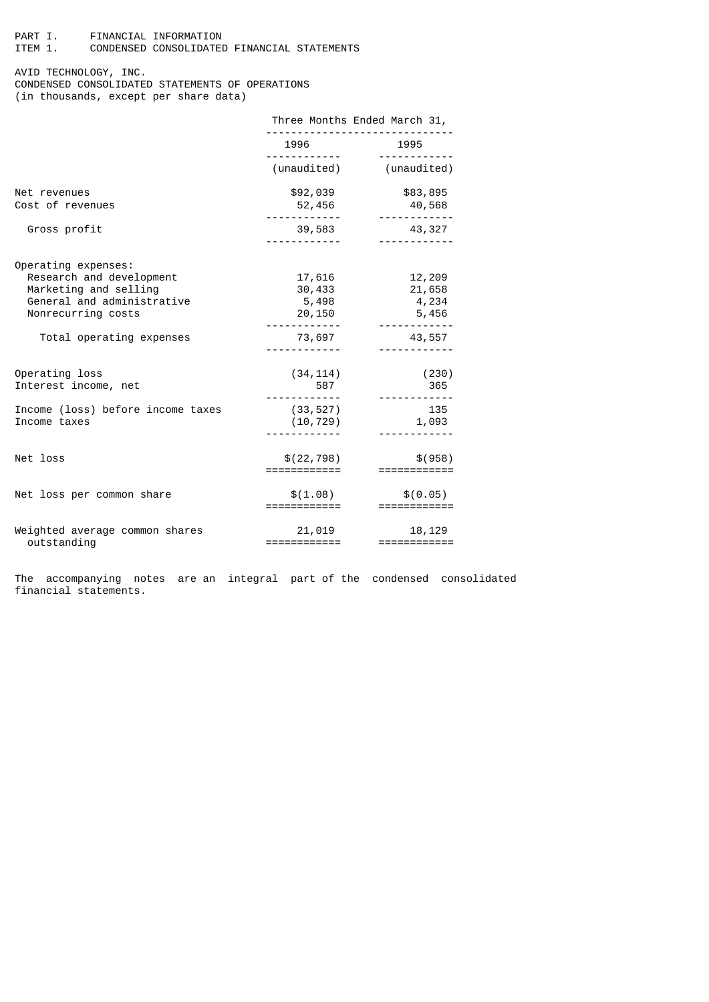#### PART I. FINANCIAL INFORMATION ITEM 1. CONDENSED CONSOLIDATED FINANCIAL STATEMENTS

AVID TECHNOLOGY, INC.

CONDENSED CONSOLIDATED STATEMENTS OF OPERATIONS (in thousands, except per share data)

|                                                                                                                              | Three Months Ended March 31,                    |                                                          |
|------------------------------------------------------------------------------------------------------------------------------|-------------------------------------------------|----------------------------------------------------------|
|                                                                                                                              | 1996                                            | 1995                                                     |
|                                                                                                                              |                                                 | <u> - - - - - - - - - -</u> .<br>(unaudited) (unaudited) |
| Net revenues<br>Cost of revenues                                                                                             | \$92,039<br>52,456                              | \$83,895<br>40,568                                       |
| Gross profit                                                                                                                 | 39,583                                          | 43, 327                                                  |
| Operating expenses:<br>Research and development<br>Marketing and selling<br>General and administrative<br>Nonrecurring costs | 17,616<br>30,433<br>5,498<br>20,150<br><u>.</u> | 12,209<br>21,658<br>4,234<br>5,456                       |
| Total operating expenses                                                                                                     | 73,697                                          | 43,557                                                   |
| Operating loss<br>Interest income, net                                                                                       | (34, 114)<br>587                                | (230)<br>365                                             |
| Income (loss) before income taxes<br>Income taxes                                                                            | (33, 527)<br>(10, 729)                          | 135<br>1,093                                             |
| Net loss                                                                                                                     | \$(22, 798)<br>============                     | \$(958)<br>============                                  |
| Net loss per common share                                                                                                    | \$(1.08)<br>============                        | \$(0.05)<br>============                                 |
| Weighted average common shares<br>outstanding                                                                                | 21,019<br>============                          | 18,129<br>============                                   |

The accompanying notes are an integral part of the condensed consolidated financial statements.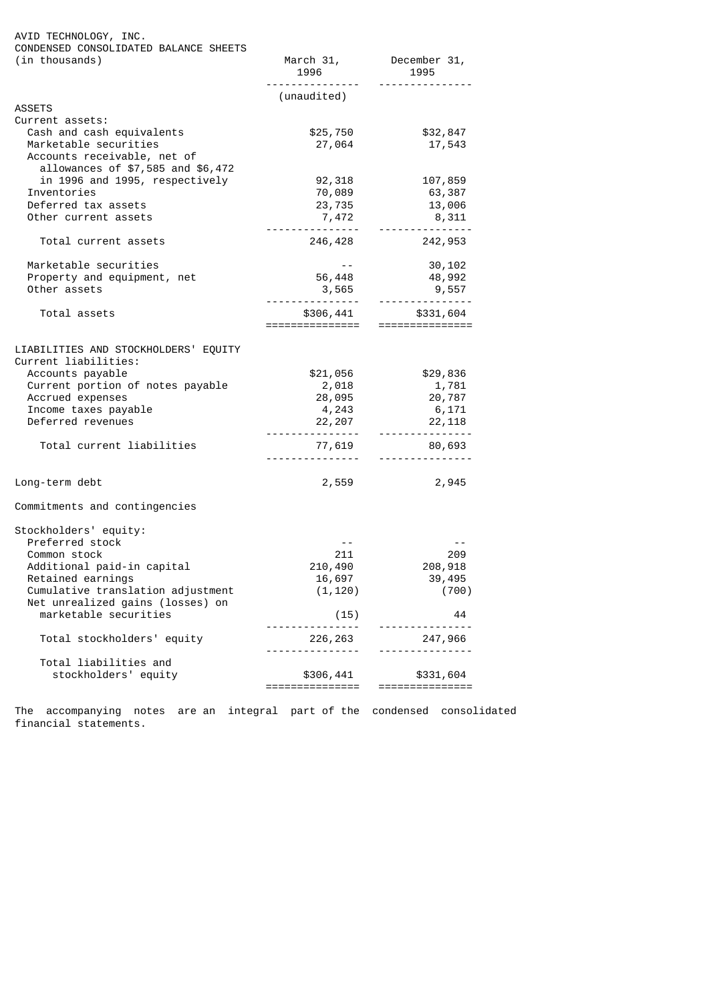| AVID TECHNOLOGY, INC.<br>CONDENSED CONSOLIDATED BALANCE SHEETS<br>(in thousands) | 1996<br><u>.</u>                                   | March 31, December 31,<br>1995<br><u>.</u>              |
|----------------------------------------------------------------------------------|----------------------------------------------------|---------------------------------------------------------|
|                                                                                  | (unaudited)                                        |                                                         |
| <b>ASSETS</b>                                                                    |                                                    |                                                         |
| Current assets:<br>Cash and cash equivalents                                     | \$25,750                                           | \$32,847                                                |
| Marketable securities<br>Accounts receivable, net of                             | 27,064                                             | 17,543                                                  |
| allowances of \$7,585 and \$6,472<br>in 1996 and 1995, respectively              | 92,318                                             | 107,859                                                 |
| Inventories                                                                      | 70,089                                             | 63,387                                                  |
| Deferred tax assets                                                              | 23,735                                             | 13,006                                                  |
| Other current assets                                                             | 7,472<br>. <u>.</u>                                | 8,311                                                   |
| Total current assets                                                             | 246,428                                            | --------------<br>242,953                               |
| Marketable securities                                                            | $\sim$ 100 $-$ 100 $-$                             | 30, 102                                                 |
| Property and equipment, net                                                      | 56,448                                             | 48,992                                                  |
| Other assets                                                                     | 3,565                                              | 9,557                                                   |
| Total assets                                                                     | - - - - - - - - - - - - - - - -<br>=============== | -------------<br>\$306,441 \$331,604<br>=============== |
|                                                                                  |                                                    |                                                         |
| LIABILITIES AND STOCKHOLDERS' EQUITY<br>Current liabilities:                     |                                                    |                                                         |
| Accounts payable                                                                 | \$21,056                                           | \$29,836                                                |
| Current portion of notes payable                                                 | 2,018                                              | 1,781                                                   |
| Accrued expenses                                                                 | 28,095                                             | 20,787                                                  |
| Income taxes payable<br>Deferred revenues                                        | 4,243                                              | 6,171                                                   |
|                                                                                  | 22, 207                                            | 22, 118                                                 |
| Total current liabilities                                                        | 77,619                                             | 80,693                                                  |
|                                                                                  |                                                    |                                                         |
| Long-term debt                                                                   | 2,559                                              | 2,945                                                   |
| Commitments and contingencies                                                    |                                                    |                                                         |
| Stockholders' equity:                                                            |                                                    |                                                         |
| Preferred stock                                                                  |                                                    |                                                         |
| Common stock                                                                     | 211                                                | 209                                                     |
| Additional paid-in capital                                                       | 210,490                                            | 208,918                                                 |
| Retained earnings                                                                | 16,697                                             | 39,495                                                  |
| Cumulative translation adjustment<br>Net unrealized gains (losses) on            | (1, 120)                                           | (700)                                                   |
| marketable securities                                                            | (15)                                               | 44                                                      |
|                                                                                  |                                                    |                                                         |
| Total stockholders' equity                                                       | 226, 263                                           | 247,966                                                 |
| Total liabilities and                                                            |                                                    |                                                         |
| stockholders' equity                                                             | \$306,441<br>===============                       | \$331,604<br>==============                             |

The accompanying notes are an integral part of the condensed consolidated financial statements.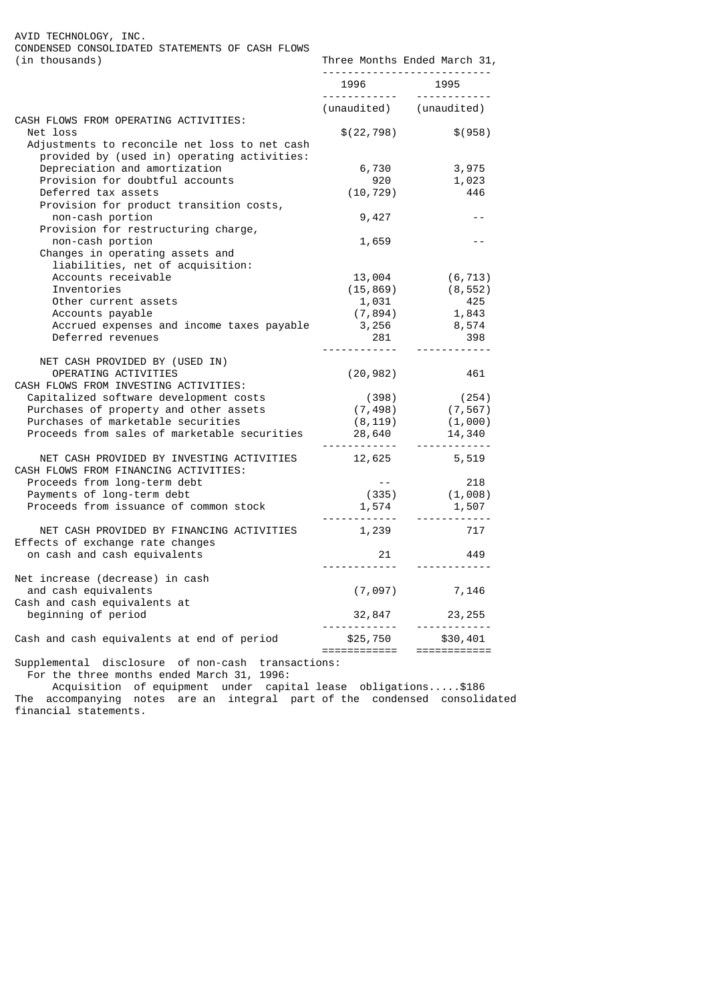| AVID TECHNOLOGY, INC. |  |
|-----------------------|--|
|-----------------------|--|

CONDENSED CONSOLIDATED STATEMENTS OF CASH FLOWS

| (in thousands)                                                                     | Three Months Ended March 31,<br>---------------------------- |                                                                 |
|------------------------------------------------------------------------------------|--------------------------------------------------------------|-----------------------------------------------------------------|
|                                                                                    | 1996<br><u> - - - - - - - - - - - - -</u>                    | 1995<br><u> - - - - - - - - - - - -</u>                         |
| CASH FLOWS FROM OPERATING ACTIVITIES:                                              | (unaudited) (unaudited)                                      |                                                                 |
| Net loss                                                                           | \$(22, 798)                                                  | \$(958)                                                         |
| Adjustments to reconcile net loss to net cash                                      |                                                              |                                                                 |
| provided by (used in) operating activities:                                        |                                                              |                                                                 |
| Depreciation and amortization                                                      | 6,730                                                        | 3,975                                                           |
| Provision for doubtful accounts<br>Deferred tax assets                             | 920<br>(10, 729)                                             | 1,023<br>446                                                    |
| Provision for product transition costs,                                            |                                                              |                                                                 |
| non-cash portion                                                                   | 9,427                                                        |                                                                 |
| Provision for restructuring charge,                                                |                                                              |                                                                 |
| non-cash portion                                                                   | 1,659                                                        | $-$                                                             |
| Changes in operating assets and                                                    |                                                              |                                                                 |
| liabilities, net of acquisition:                                                   |                                                              |                                                                 |
| Accounts receivable<br>Inventories                                                 | 13,004<br>(15, 869)                                          | (6, 713)<br>(8, 552)                                            |
| Other current assets                                                               | 1,031                                                        | 425                                                             |
| Accounts payable                                                                   | (7, 894)                                                     | 1,843                                                           |
| Accrued expenses and income taxes payable                                          | 3,256                                                        | 8,574                                                           |
| Deferred revenues                                                                  | 281                                                          | 398                                                             |
|                                                                                    |                                                              | <u> - - - - - - - - -</u>                                       |
| NET CASH PROVIDED BY (USED IN)<br>OPERATING ACTIVITIES                             | (20, 982)                                                    | 461                                                             |
| CASH FLOWS FROM INVESTING ACTIVITIES:                                              |                                                              |                                                                 |
| Capitalized software development costs                                             | (398)                                                        |                                                                 |
| Purchases of property and other assets                                             |                                                              | (254)<br>(7,567)<br>(1.000)                                     |
| Purchases of marketable securities                                                 |                                                              | (1,000)                                                         |
| Proceeds from sales of marketable securities                                       |                                                              | $(7,498)$ $(7,567)$<br>$(8,119)$ $(1,000)$<br>$28,640$ $14,340$ |
| NET CASH PROVIDED BY INVESTING ACTIVITIES<br>CASH FLOWS FROM FINANCING ACTIVITIES: | 12,625                                                       | 5,519                                                           |
| Proceeds from long-term debt                                                       | $\sim$ $  -$                                                 | 218                                                             |
| Payments of long-term debt                                                         |                                                              | $(335)$ $(1,008)$                                               |
| Proceeds from issuance of common stock                                             | 1,574                                                        | 1,507                                                           |
| NET CASH PROVIDED BY FINANCING ACTIVITIES                                          | 1,239                                                        | <u> - - - - - - - - - -</u> .<br>717                            |
| Effects of exchange rate changes<br>on cash and cash equivalents                   | 21                                                           | 449<br><u> - - - - - - - - - -</u>                              |
| Net increase (decrease) in cash                                                    |                                                              |                                                                 |
| and cash equivalents                                                               |                                                              | $(7,097)$ 7,146                                                 |
| Cash and cash equivalents at                                                       |                                                              |                                                                 |
| beginning of period                                                                |                                                              |                                                                 |
| Cash and cash equivalents at end of period                                         | \$25,750<br>============                                     | \$30,401                                                        |
| Supplemental disclosure of non-cash transactions:                                  |                                                              |                                                                 |

For the three months ended March 31, 1996:

 Acquisition of equipment under capital lease obligations.....\$186 The accompanying notes are an integral part of the condensed consolidated financial statements.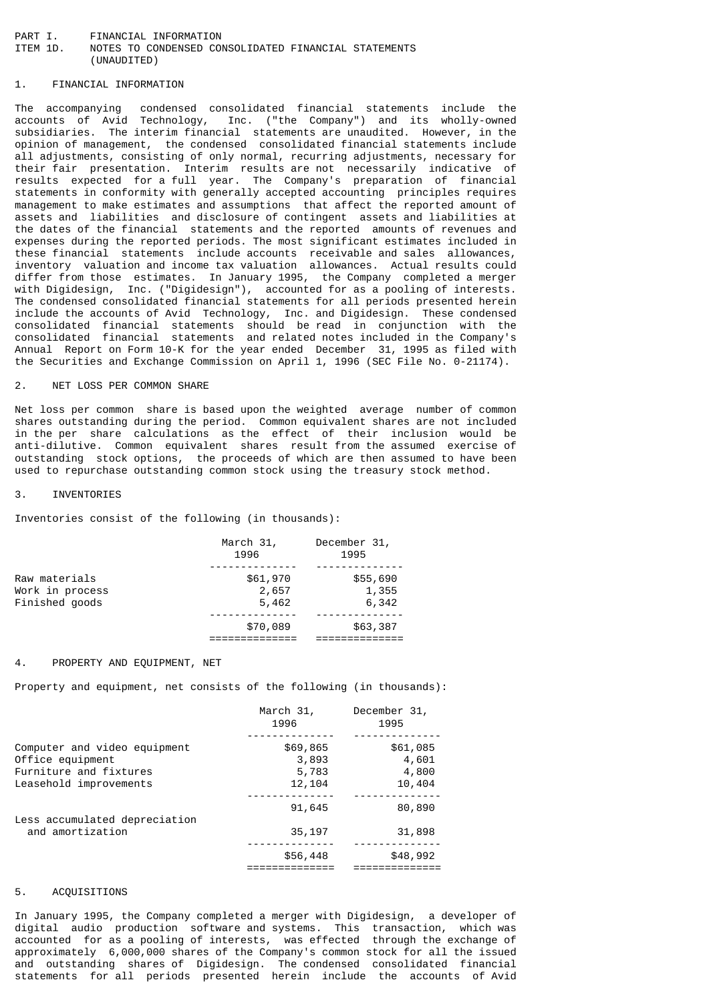#### PART I. FINANCIAL INFORMATION<br>ITEM 1D. NOTES TO CONDENSED CO NOTES TO CONDENSED CONSOLIDATED FINANCIAL STATEMENTS (UNAUDITED)

## 1. FINANCIAL INFORMATION

The accompanying condensed consolidated financial statements include the accounts of Avid Technology, Inc. ("the Company") and its wholly-owned subsidiaries. The interim financial statements are unaudited. However, in the opinion of management, the condensed consolidated financial statements include all adjustments, consisting of only normal, recurring adjustments, necessary for their fair presentation. Interim results are not necessarily indicative of results expected for a full year. The Company's preparation of financial statements in conformity with generally accepted accounting principles requires management to make estimates and assumptions that affect the reported amount of assets and liabilities and disclosure of contingent assets and liabilities at the dates of the financial statements and the reported amounts of revenues and expenses during the reported periods. The most significant estimates included in these financial statements include accounts receivable and sales allowances, inventory valuation and income tax valuation allowances. Actual results could differ from those estimates. In January 1995, the Company completed a merger with Digidesign, Inc. ("Digidesign"), accounted for as a pooling of interests. The condensed consolidated financial statements for all periods presented herein include the accounts of Avid Technology, Inc. and Digidesign. These condensed consolidated financial statements should be read in conjunction with the consolidated financial statements and related notes included in the Company's Annual Report on Form 10-K for the year ended December 31, 1995 as filed with the Securities and Exchange Commission on April 1, 1996 (SEC File No. 0-21174).

### 2. NET LOSS PER COMMON SHARE

Net loss per common share is based upon the weighted average number of common shares outstanding during the period. Common equivalent shares are not included in the per share calculations as the effect of their inclusion would be anti-dilutive. Common equivalent shares result from the assumed exercise of outstanding stock options, the proceeds of which are then assumed to have been used to repurchase outstanding common stock using the treasury stock method.

#### 3. INVENTORIES

Inventories consist of the following (in thousands):

|                                                    | March 31,<br>1996          | December 31,<br>1995       |
|----------------------------------------------------|----------------------------|----------------------------|
| Raw materials<br>Work in process<br>Finished goods | \$61,970<br>2,657<br>5,462 | \$55,690<br>1,355<br>6,342 |
|                                                    | \$70,089                   | \$63,387                   |

### 4. PROPERTY AND EQUIPMENT, NET

Property and equipment, net consists of the following (in thousands):

|                                                  | March 31,<br>1996 | December 31,<br>1995 |
|--------------------------------------------------|-------------------|----------------------|
| Computer and video equipment<br>Office equipment | \$69,865<br>3,893 | \$61,085<br>4,601    |
| Furniture and fixtures<br>Leasehold improvements | 5,783<br>12,104   | 4,800<br>10,404      |
| Less accumulated depreciation                    | 91,645            | 80,890               |
| and amortization                                 | 35,197            | 31,898               |
|                                                  | \$56,448          | \$48,992             |

#### 5. ACQUISITIONS

In January 1995, the Company completed a merger with Digidesign, a developer of digital audio production software and systems. This transaction, which was accounted for as a pooling of interests, was effected through the exchange of approximately 6,000,000 shares of the Company's common stock for all the issued and outstanding shares of Digidesign. The condensed consolidated financial statements for all periods presented herein include the accounts of Avid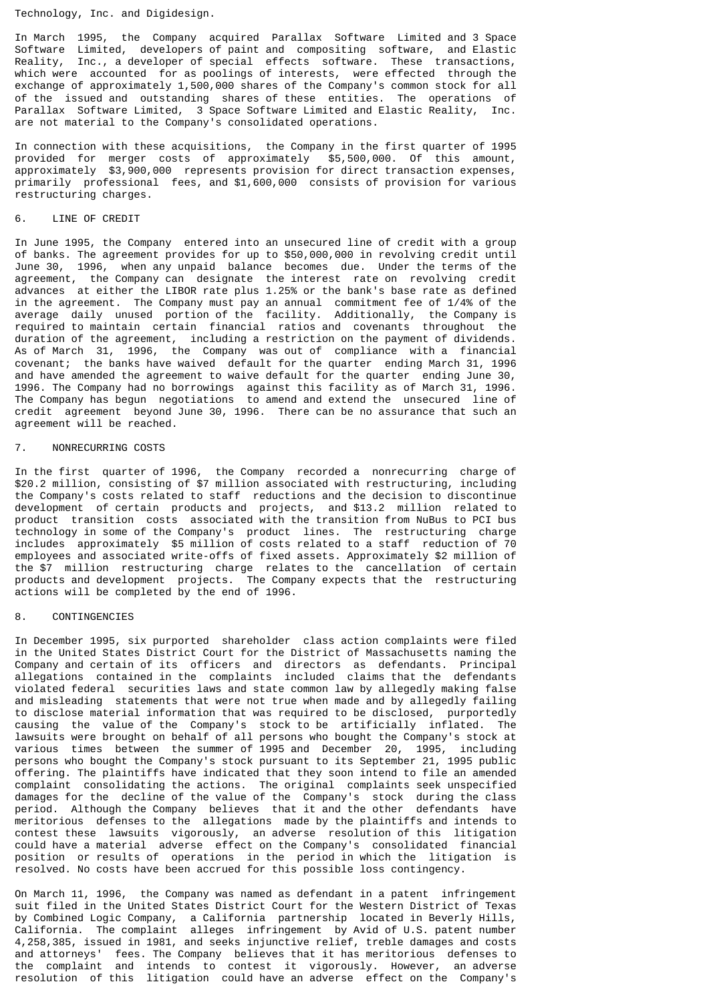Technology, Inc. and Digidesign.

In March 1995, the Company acquired Parallax Software Limited and 3 Space Software Limited, developers of paint and compositing software, and Elastic Reality, Inc., a developer of special effects software. These transactions, which were accounted for as poolings of interests, were effected through the exchange of approximately 1,500,000 shares of the Company's common stock for all of the issued and outstanding shares of these entities. The operations of Parallax Software Limited, 3 Space Software Limited and Elastic Reality, Inc. are not material to the Company's consolidated operations.

In connection with these acquisitions, the Company in the first quarter of 1995 provided for merger costs of approximately \$5,500,000. Of this amount, approximately \$3,900,000 represents provision for direct transaction expenses, primarily professional fees, and \$1,600,000 consists of provision for various restructuring charges.

#### 6. LINE OF CREDIT

In June 1995, the Company entered into an unsecured line of credit with a group of banks. The agreement provides for up to \$50,000,000 in revolving credit until June 30, 1996, when any unpaid balance becomes due. Under the terms of the agreement, the Company can designate the interest rate on revolving credit advances at either the LIBOR rate plus 1.25% or the bank's base rate as defined in the agreement. The Company must pay an annual commitment fee of 1/4% of the average daily unused portion of the facility. Additionally, the Company is required to maintain certain financial ratios and covenants throughout the duration of the agreement, including a restriction on the payment of dividends. As of March 31, 1996, the Company was out of compliance with a financial covenant; the banks have waived default for the quarter ending March 31, 1996 and have amended the agreement to waive default for the quarter ending June 30, 1996. The Company had no borrowings against this facility as of March 31, 1996. The Company has begun negotiations to amend and extend the unsecured line of credit agreement beyond June 30, 1996. There can be no assurance that such an agreement will be reached.

## 7. NONRECURRING COSTS

In the first quarter of 1996, the Company recorded a nonrecurring charge of \$20.2 million, consisting of \$7 million associated with restructuring, including the Company's costs related to staff reductions and the decision to discontinue development of certain products and projects, and \$13.2 million related to product transition costs associated with the transition from NuBus to PCI bus technology in some of the Company's product lines. The restructuring charge includes approximately \$5 million of costs related to a staff reduction of 70 employees and associated write-offs of fixed assets. Approximately \$2 million of the \$7 million restructuring charge relates to the cancellation of certain products and development projects. The Company expects that the restructuring actions will be completed by the end of 1996.

#### 8. CONTINGENCIES

In December 1995, six purported shareholder class action complaints were filed in the United States District Court for the District of Massachusetts naming the Company and certain of its officers and directors as defendants. Principal allegations contained in the complaints included claims that the defendants violated federal securities laws and state common law by allegedly making false and misleading statements that were not true when made and by allegedly failing to disclose material information that was required to be disclosed, purportedly causing the value of the Company's stock to be artificially inflated. The lawsuits were brought on behalf of all persons who bought the Company's stock at various times between the summer of 1995 and December 20, 1995, including persons who bought the Company's stock pursuant to its September 21, 1995 public offering. The plaintiffs have indicated that they soon intend to file an amended complaint consolidating the actions. The original complaints seek unspecified damages for the decline of the value of the Company's stock during the class period. Although the Company believes that it and the other defendants have meritorious defenses to the allegations made by the plaintiffs and intends to contest these lawsuits vigorously, an adverse resolution of this litigation could have a material adverse effect on the Company's consolidated financial position or results of operations in the period in which the litigation is resolved. No costs have been accrued for this possible loss contingency.

On March 11, 1996, the Company was named as defendant in a patent infringement suit filed in the United States District Court for the Western District of Texas by Combined Logic Company, a California partnership located in Beverly Hills, California. The complaint alleges infringement by Avid of U.S. patent number 4,258,385, issued in 1981, and seeks injunctive relief, treble damages and costs and attorneys' fees. The Company believes that it has meritorious defenses to the complaint and intends to contest it vigorously. However, an adverse resolution of this litigation could have an adverse effect on the Company's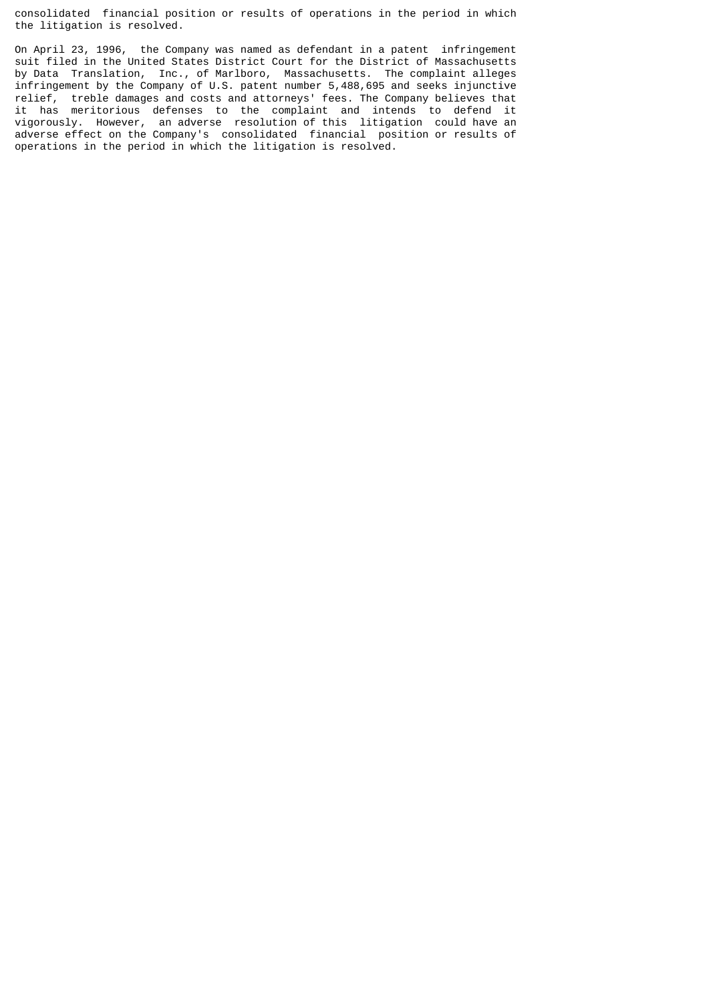consolidated financial position or results of operations in the period in which the litigation is resolved.

On April 23, 1996, the Company was named as defendant in a patent infringement suit filed in the United States District Court for the District of Massachusetts by Data Translation, Inc., of Marlboro, Massachusetts. The complaint alleges infringement by the Company of U.S. patent number 5,488,695 and seeks injunctive relief, treble damages and costs and attorneys' fees. The Company believes that it has meritorious defenses to the complaint and intends to defend it vigorously. However, an adverse resolution of this litigation could have an adverse effect on the Company's consolidated financial position or results of operations in the period in which the litigation is resolved.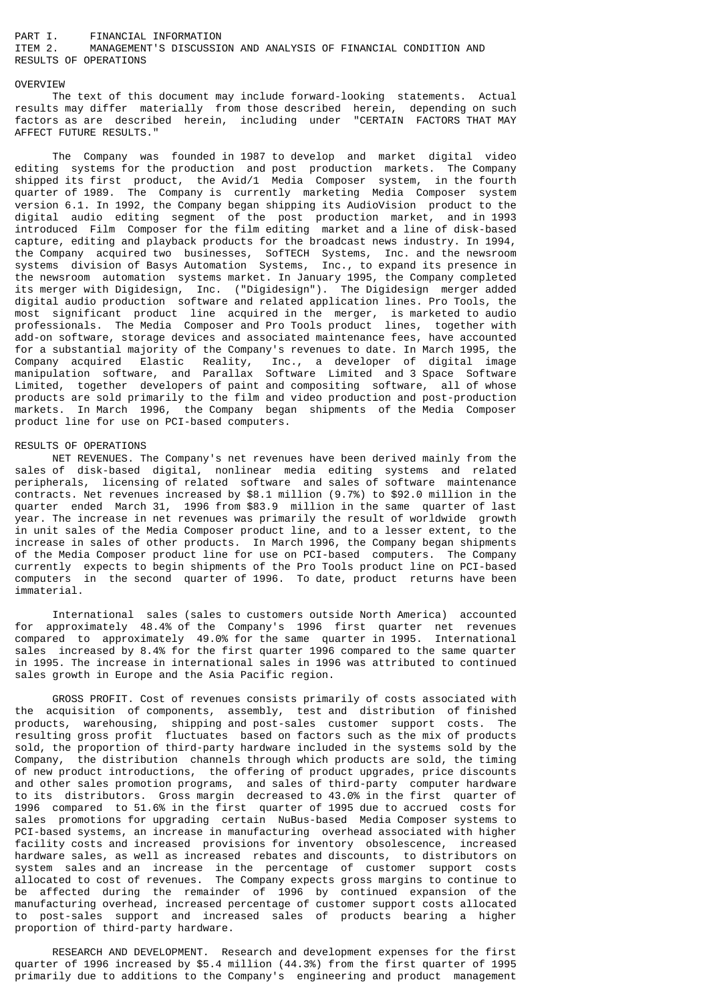#### PART I. FINANCIAL INFORMATION<br>TTFM 2. MANAGEMENT'S DISCUSSI MANAGEMENT'S DISCUSSION AND ANALYSIS OF FINANCIAL CONDITION AND RESULTS OF OPERATIONS

#### OVERVIEW

 The text of this document may include forward-looking statements. Actual results may differ materially from those described herein, depending on such factors as are described herein, including under "CERTAIN FACTORS THAT MAY AFFECT FUTURE RESULTS."

 The Company was founded in 1987 to develop and market digital video editing systems for the production and post production markets. The Company shipped its first product, the Avid/1 Media Composer system, in the fourth quarter of 1989. The Company is currently marketing Media Composer system version 6.1. In 1992, the Company began shipping its AudioVision product to the digital audio editing segment of the post production market, and in 1993 introduced Film Composer for the film editing market and a line of disk-based capture, editing and playback products for the broadcast news industry. In 1994, the Company acquired two businesses, SofTECH Systems, Inc. and the newsroom systems division of Basys Automation Systems, Inc., to expand its presence in the newsroom automation systems market. In January 1995, the Company completed its merger with Digidesign, Inc. ("Digidesign"). The Digidesign merger added digital audio production software and related application lines. Pro Tools, the most significant product line acquired in the merger, is marketed to audio professionals. The Media Composer and Pro Tools product lines, together with add-on software, storage devices and associated maintenance fees, have accounted for a substantial majority of the Company's revenues to date. In March 1995, the Company acquired Elastic Reality, Inc., a developer of digital image manipulation software, and Parallax Software Limited and 3 Space Software Limited, together developers of paint and compositing software, all of whose products are sold primarily to the film and video production and post-production markets. In March 1996, the Company began shipments of the Media Composer product line for use on PCI-based computers.

#### RESULTS OF OPERATIONS

 NET REVENUES. The Company's net revenues have been derived mainly from the sales of disk-based digital, nonlinear media editing systems and related peripherals, licensing of related software and sales of software maintenance contracts. Net revenues increased by \$8.1 million (9.7%) to \$92.0 million in the quarter ended March 31, 1996 from \$83.9 million in the same quarter of last year. The increase in net revenues was primarily the result of worldwide growth in unit sales of the Media Composer product line, and to a lesser extent, to the increase in sales of other products. In March 1996, the Company began shipments of the Media Composer product line for use on PCI-based computers. The Company currently expects to begin shipments of the Pro Tools product line on PCI-based computers in the second quarter of 1996. To date, product returns have been immaterial.

 International sales (sales to customers outside North America) accounted for approximately 48.4% of the Company's 1996 first quarter net revenues compared to approximately 49.0% for the same quarter in 1995. International sales increased by 8.4% for the first quarter 1996 compared to the same quarter in 1995. The increase in international sales in 1996 was attributed to continued sales growth in Europe and the Asia Pacific region.

 GROSS PROFIT. Cost of revenues consists primarily of costs associated with the acquisition of components, assembly, test and distribution of finished products, warehousing, shipping and post-sales customer support costs. The resulting gross profit fluctuates based on factors such as the mix of products sold, the proportion of third-party hardware included in the systems sold by the Company, the distribution channels through which products are sold, the timing of new product introductions, the offering of product upgrades, price discounts and other sales promotion programs, and sales of third-party computer hardware to its distributors. Gross margin decreased to 43.0% in the first quarter of 1996 compared to 51.6% in the first quarter of 1995 due to accrued costs for sales promotions for upgrading certain NuBus-based Media Composer systems to PCI-based systems, an increase in manufacturing overhead associated with higher facility costs and increased provisions for inventory obsolescence, increased hardware sales, as well as increased rebates and discounts, to distributors on system sales and an increase in the percentage of customer support costs allocated to cost of revenues. The Company expects gross margins to continue to be affected during the remainder of 1996 by continued expansion of the manufacturing overhead, increased percentage of customer support costs allocated to post-sales support and increased sales of products bearing a higher proportion of third-party hardware.

 RESEARCH AND DEVELOPMENT. Research and development expenses for the first quarter of 1996 increased by \$5.4 million (44.3%) from the first quarter of 1995 primarily due to additions to the Company's engineering and product management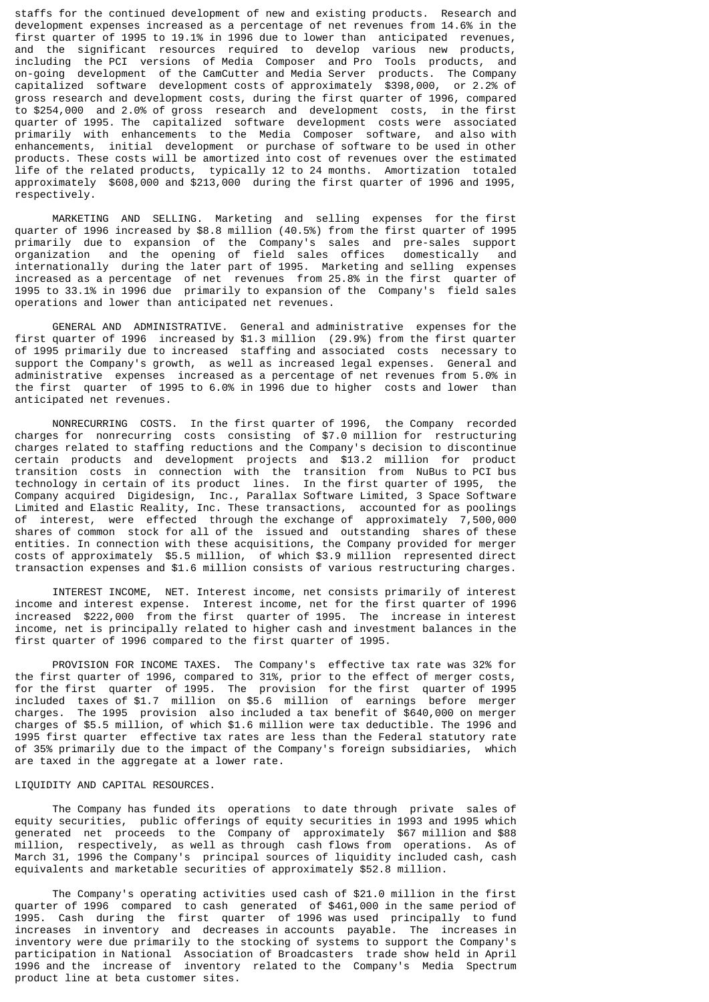staffs for the continued development of new and existing products. Research and development expenses increased as a percentage of net revenues from 14.6% in the first quarter of 1995 to 19.1% in 1996 due to lower than anticipated revenues, and the significant resources required to develop various new products, including the PCI versions of Media Composer and Pro Tools products, and on-going development of the CamCutter and Media Server products. The Company capitalized software development costs of approximately \$398,000, or 2.2% of gross research and development costs, during the first quarter of 1996, compared to \$254,000 and 2.0% of gross research and development costs, in the first quarter of 1995. The capitalized software development costs were associated primarily with enhancements to the Media Composer software, and also with enhancements, initial development or purchase of software to be used in other products. These costs will be amortized into cost of revenues over the estimated life of the related products, typically 12 to 24 months. Amortization totaled approximately  $$608,000$  and  $$213,000$  during the first quarter of 1996 and 1995, respectively.

 MARKETING AND SELLING. Marketing and selling expenses for the first quarter of 1996 increased by \$8.8 million (40.5%) from the first quarter of 1995 primarily due to expansion of the Company's sales and pre-sales support organization and the opening of field sales offices domestically and internationally during the later part of 1995. Marketing and selling expenses increased as a percentage of net revenues from 25.8% in the first quarter of 1995 to 33.1% in 1996 due primarily to expansion of the Company's field sales operations and lower than anticipated net revenues.

 GENERAL AND ADMINISTRATIVE. General and administrative expenses for the first quarter of 1996 increased by \$1.3 million (29.9%) from the first quarter of 1995 primarily due to increased staffing and associated costs necessary to support the Company's growth, as well as increased legal expenses. General and administrative expenses increased as a percentage of net revenues from 5.0% in the first quarter of 1995 to 6.0% in 1996 due to higher costs and lower than anticipated net revenues.

 NONRECURRING COSTS. In the first quarter of 1996, the Company recorded charges for nonrecurring costs consisting of \$7.0 million for restructuring charges related to staffing reductions and the Company's decision to discontinue certain products and development projects and \$13.2 million for product transition costs in connection with the transition from NuBus to PCI bus technology in certain of its product lines. In the first quarter of 1995, the Company acquired Digidesign, Inc., Parallax Software Limited, 3 Space Software Limited and Elastic Reality, Inc. These transactions, accounted for as poolings of interest, were effected through the exchange of approximately 7,500,000 shares of common stock for all of the issued and outstanding shares of these entities. In connection with these acquisitions, the Company provided for merger costs of approximately \$5.5 million, of which \$3.9 million represented direct transaction expenses and \$1.6 million consists of various restructuring charges.

 INTEREST INCOME, NET. Interest income, net consists primarily of interest income and interest expense. Interest income, net for the first quarter of 1996 increased \$222,000 from the first quarter of 1995. The increase in interest income, net is principally related to higher cash and investment balances in the first quarter of 1996 compared to the first quarter of 1995.

 PROVISION FOR INCOME TAXES. The Company's effective tax rate was 32% for the first quarter of 1996, compared to 31%, prior to the effect of merger costs, for the first quarter of 1995. The provision for the first quarter of 1995 included taxes of \$1.7 million on \$5.6 million of earnings before merger charges. The 1995 provision also included a tax benefit of \$640,000 on merger charges of \$5.5 million, of which \$1.6 million were tax deductible. The 1996 and 1995 first quarter effective tax rates are less than the Federal statutory rate of 35% primarily due to the impact of the Company's foreign subsidiaries, which are taxed in the aggregate at a lower rate.

#### LIQUIDITY AND CAPITAL RESOURCES.

 The Company has funded its operations to date through private sales of equity securities, public offerings of equity securities in 1993 and 1995 which generated net proceeds to the Company of approximately \$67 million and \$88 million, respectively, as well as through cash flows from operations. As of March 31, 1996 the Company's principal sources of liquidity included cash, cash equivalents and marketable securities of approximately \$52.8 million.

 The Company's operating activities used cash of \$21.0 million in the first quarter of 1996 compared to cash generated of \$461,000 in the same period of 1995. Cash during the first quarter of 1996 was used principally to fund increases in inventory and decreases in accounts payable. The increases in inventory were due primarily to the stocking of systems to support the Company's participation in National Association of Broadcasters trade show held in April 1996 and the increase of inventory related to the Company's Media Spectrum product line at beta customer sites.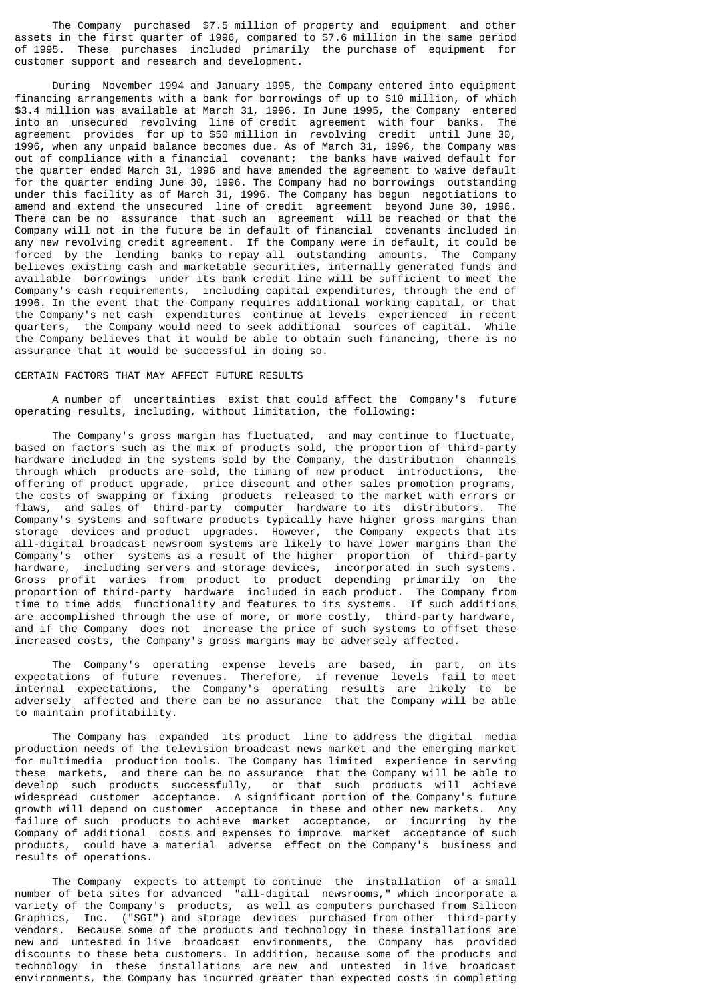The Company purchased \$7.5 million of property and equipment and other assets in the first quarter of 1996, compared to \$7.6 million in the same period of 1995. These purchases included primarily the purchase of equipment for customer support and research and development.

 During November 1994 and January 1995, the Company entered into equipment financing arrangements with a bank for borrowings of up to \$10 million, of which \$3.4 million was available at March 31, 1996. In June 1995, the Company entered into an unsecured revolving line of credit agreement with four banks. The agreement provides for up to \$50 million in revolving credit until June 30, 1996, when any unpaid balance becomes due. As of March 31, 1996, the Company was out of compliance with a financial covenant; the banks have waived default for the quarter ended March 31, 1996 and have amended the agreement to waive default for the quarter ending June 30, 1996. The Company had no borrowings outstanding under this facility as of March 31, 1996. The Company has begun negotiations to amend and extend the unsecured line of credit agreement beyond June 30, 1996. There can be no assurance that such an agreement will be reached or that the Company will not in the future be in default of financial covenants included in any new revolving credit agreement. If the Company were in default, it could be forced by the lending banks to repay all outstanding amounts. The Company believes existing cash and marketable securities, internally generated funds and available borrowings under its bank credit line will be sufficient to meet the Company's cash requirements, including capital expenditures, through the end of 1996. In the event that the Company requires additional working capital, or that the Company's net cash expenditures continue at levels experienced in recent quarters, the Company would need to seek additional sources of capital. While the Company believes that it would be able to obtain such financing, there is no assurance that it would be successful in doing so.

#### CERTAIN FACTORS THAT MAY AFFECT FUTURE RESULTS

 A number of uncertainties exist that could affect the Company's future operating results, including, without limitation, the following:

 The Company's gross margin has fluctuated, and may continue to fluctuate, based on factors such as the mix of products sold, the proportion of third-party hardware included in the systems sold by the Company, the distribution channels through which products are sold, the timing of new product introductions, the offering of product upgrade, price discount and other sales promotion programs, the costs of swapping or fixing products released to the market with errors or flaws, and sales of third-party computer hardware to its distributors. The Company's systems and software products typically have higher gross margins than storage devices and product upgrades. However, the Company expects that its all-digital broadcast newsroom systems are likely to have lower margins than the Company's other systems as a result of the higher proportion of third-party hardware, including servers and storage devices, incorporated in such systems. Gross profit varies from product to product depending primarily on the proportion of third-party hardware included in each product. The Company from time to time adds functionality and features to its systems. If such additions are accomplished through the use of more, or more costly, third-party hardware, and if the Company does not increase the price of such systems to offset these increased costs, the Company's gross margins may be adversely affected.

 The Company's operating expense levels are based, in part, on its expectations of future revenues. Therefore, if revenue levels fail to meet internal expectations, the Company's operating results are likely to be adversely affected and there can be no assurance that the Company will be able to maintain profitability.

 The Company has expanded its product line to address the digital media production needs of the television broadcast news market and the emerging market for multimedia production tools. The Company has limited experience in serving these markets, and there can be no assurance that the Company will be able to develop such products successfully, or that such products will achieve widespread customer acceptance. A significant portion of the Company's future growth will depend on customer acceptance in these and other new markets. Any failure of such products to achieve market acceptance, or incurring by the Company of additional costs and expenses to improve market acceptance of such products, could have a material adverse effect on the Company's business and results of operations.

 The Company expects to attempt to continue the installation of a small number of beta sites for advanced "all-digital newsrooms," which incorporate a variety of the Company's products, as well as computers purchased from Silicon Graphics, Inc. ("SGI") and storage devices purchased from other third-party vendors. Because some of the products and technology in these installations are new and untested in live broadcast environments, the Company has provided discounts to these beta customers. In addition, because some of the products and technology in these installations are new and untested in live broadcast environments, the Company has incurred greater than expected costs in completing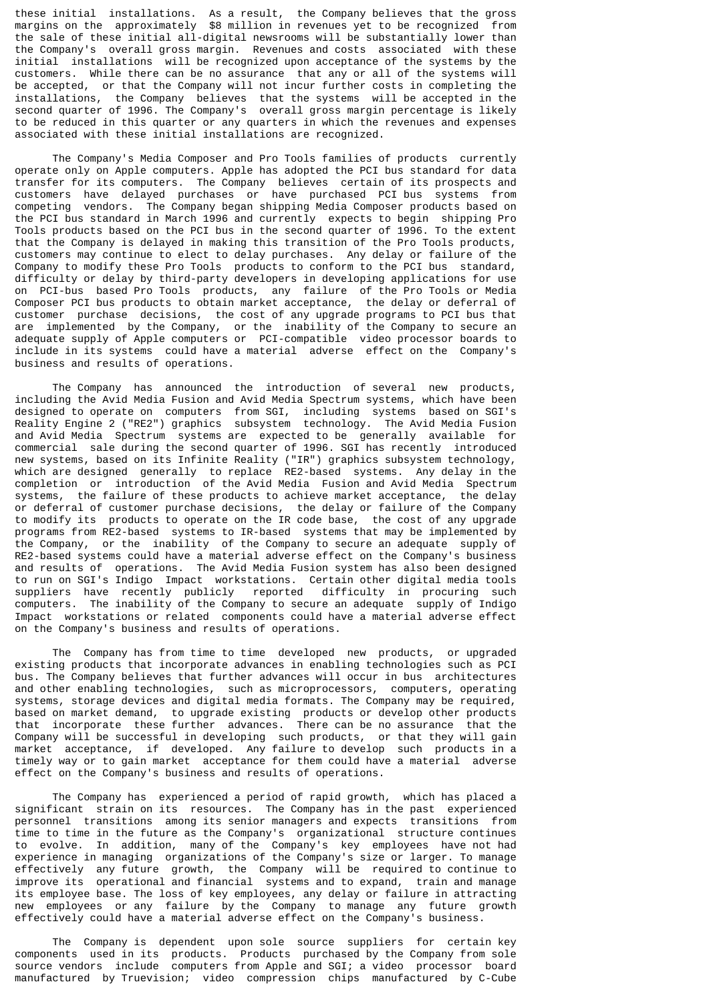these initial installations. As a result, the Company believes that the gross margins on the approximately \$8 million in revenues yet to be recognized from the sale of these initial all-digital newsrooms will be substantially lower than the Company's overall gross margin. Revenues and costs associated with these initial installations will be recognized upon acceptance of the systems by the customers. While there can be no assurance that any or all of the systems will be accepted, or that the Company will not incur further costs in completing the installations, the Company believes that the systems will be accepted in the second quarter of 1996. The Company's overall gross margin percentage is likely to be reduced in this quarter or any quarters in which the revenues and expenses associated with these initial installations are recognized.

 The Company's Media Composer and Pro Tools families of products currently operate only on Apple computers. Apple has adopted the PCI bus standard for data transfer for its computers. The Company believes certain of its prospects and customers have delayed purchases or have purchased PCI bus systems from competing vendors. The Company began shipping Media Composer products based on the PCI bus standard in March 1996 and currently expects to begin shipping Pro Tools products based on the PCI bus in the second quarter of 1996. To the extent that the Company is delayed in making this transition of the Pro Tools products, customers may continue to elect to delay purchases. Any delay or failure of the Company to modify these Pro Tools products to conform to the PCI bus standard, difficulty or delay by third-party developers in developing applications for use on PCI-bus based Pro Tools products, any failure of the Pro Tools or Media Composer PCI bus products to obtain market acceptance, the delay or deferral of customer purchase decisions, the cost of any upgrade programs to PCI bus that are implemented by the Company, or the inability of the Company to secure an adequate supply of Apple computers or PCI-compatible video processor boards to include in its systems could have a material adverse effect on the Company's business and results of operations.

 The Company has announced the introduction of several new products, including the Avid Media Fusion and Avid Media Spectrum systems, which have been designed to operate on computers from SGI, including systems based on SGI's Reality Engine 2 ("RE2") graphics subsystem technology. The Avid Media Fusion and Avid Media Spectrum systems are expected to be generally available for commercial sale during the second quarter of 1996. SGI has recently introduced new systems, based on its Infinite Reality ("IR") graphics subsystem technology, which are designed generally to replace RE2-based systems. Any delay in the completion or introduction of the Avid Media Fusion and Avid Media Spectrum systems, the failure of these products to achieve market acceptance, the delay or deferral of customer purchase decisions, the delay or failure of the Company to modify its products to operate on the IR code base, the cost of any upgrade programs from RE2-based systems to IR-based systems that may be implemented by the Company, or the inability of the Company to secure an adequate supply of RE2-based systems could have a material adverse effect on the Company's business and results of operations. The Avid Media Fusion system has also been designed to run on SGI's Indigo Impact workstations. Certain other digital media tools suppliers have recently publicly reported difficulty in procuring such computers. The inability of the Company to secure an adequate supply of Indigo Impact workstations or related components could have a material adverse effect on the Company's business and results of operations.

 The Company has from time to time developed new products, or upgraded existing products that incorporate advances in enabling technologies such as PCI bus. The Company believes that further advances will occur in bus architectures and other enabling technologies, such as microprocessors, computers, operating systems, storage devices and digital media formats. The Company may be required, based on market demand, to upgrade existing products or develop other products that incorporate these further advances. There can be no assurance that the Company will be successful in developing such products, or that they will gain market acceptance, if developed. Any failure to develop such products in a timely way or to gain market acceptance for them could have a material adverse effect on the Company's business and results of operations.

 The Company has experienced a period of rapid growth, which has placed a significant strain on its resources. The Company has in the past experienced personnel transitions among its senior managers and expects transitions from time to time in the future as the Company's organizational structure continues to evolve. In addition, many of the Company's key employees have not had experience in managing organizations of the Company's size or larger. To manage effectively any future growth, the Company will be required to continue to improve its operational and financial systems and to expand, train and manage its employee base. The loss of key employees, any delay or failure in attracting new employees or any failure by the Company to manage any future growth effectively could have a material adverse effect on the Company's business.

 The Company is dependent upon sole source suppliers for certain key components used in its products. Products purchased by the Company from sole source vendors include computers from Apple and SGI; a video processor board manufactured by Truevision; video compression chips manufactured by C-Cube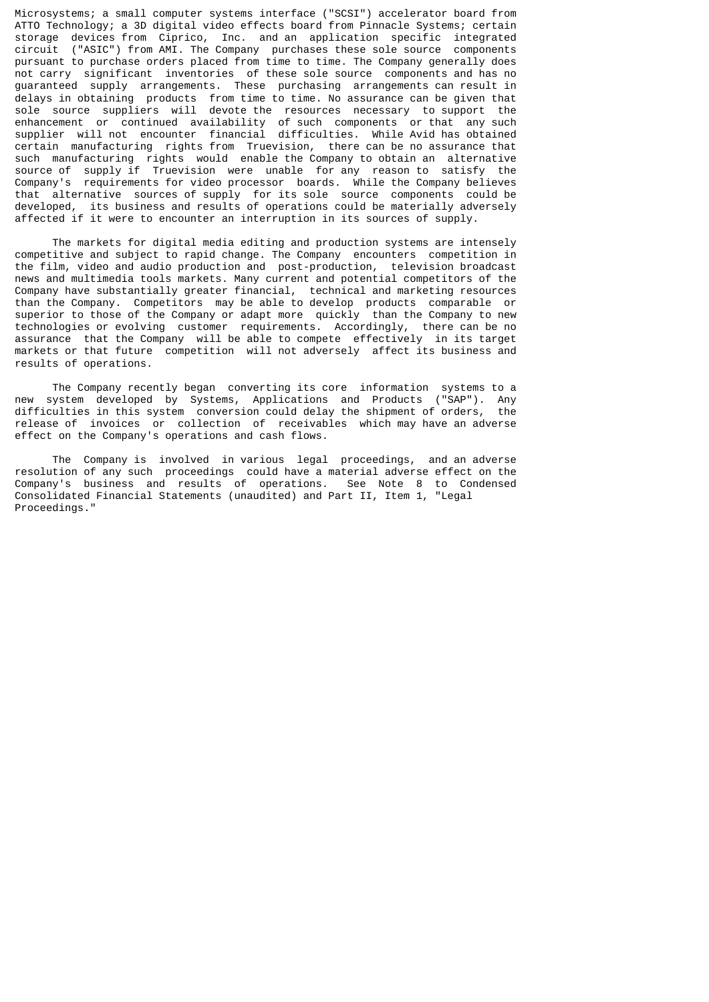Microsystems; a small computer systems interface ("SCSI") accelerator board from ATTO Technology; a 3D digital video effects board from Pinnacle Systems; certain storage devices from Ciprico, Inc. and an application specific integrated circuit ("ASIC") from AMI. The Company purchases these sole source components pursuant to purchase orders placed from time to time. The Company generally does not carry significant inventories of these sole source components and has no guaranteed supply arrangements. These purchasing arrangements can result in delays in obtaining products from time to time. No assurance can be given that sole source suppliers will devote the resources necessary to support the enhancement or continued availability of such components or that any such supplier will not encounter financial difficulties. While Avid has obtained certain manufacturing rights from Truevision, there can be no assurance that such manufacturing rights would enable the Company to obtain an alternative source of supply if Truevision were unable for any reason to satisfy the Company's requirements for video processor boards. While the Company believes that alternative sources of supply for its sole source components could be developed, its business and results of operations could be materially adversely affected if it were to encounter an interruption in its sources of supply.

 The markets for digital media editing and production systems are intensely competitive and subject to rapid change. The Company encounters competition in the film, video and audio production and post-production, television broadcast news and multimedia tools markets. Many current and potential competitors of the Company have substantially greater financial, technical and marketing resources than the Company. Competitors may be able to develop products comparable or superior to those of the Company or adapt more quickly than the Company to new technologies or evolving customer requirements. Accordingly, there can be no assurance that the Company will be able to compete effectively in its target markets or that future competition will not adversely affect its business and results of operations.

 The Company recently began converting its core information systems to a new system developed by Systems, Applications and Products ("SAP"). Any difficulties in this system conversion could delay the shipment of orders, the release of invoices or collection of receivables which may have an adverse effect on the Company's operations and cash flows.

 The Company is involved in various legal proceedings, and an adverse resolution of any such proceedings could have a material adverse effect on the Company's business and results of operations. See Note 8 to Condensed Consolidated Financial Statements (unaudited) and Part II, Item 1, "Legal Proceedings."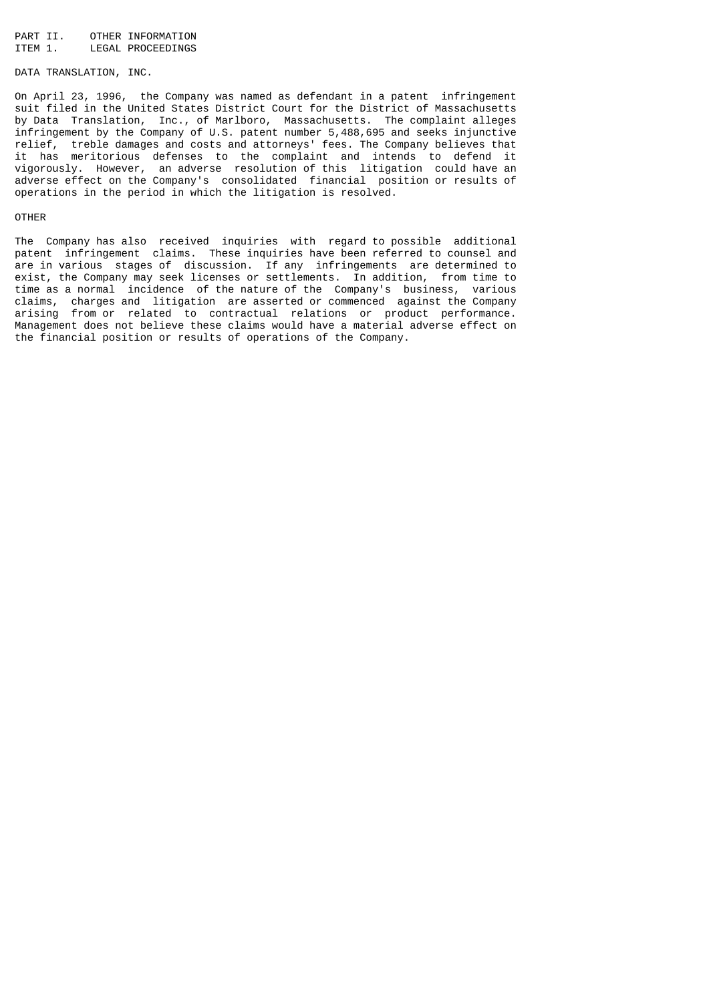#### PART II. OTHER INFORMATION<br>ITEM 1. LEGAL PROCEEDINGS LEGAL PROCEEDINGS

## DATA TRANSLATION, INC.

On April 23, 1996, the Company was named as defendant in a patent infringement suit filed in the United States District Court for the District of Massachusetts by Data Translation, Inc., of Marlboro, Massachusetts. The complaint alleges infringement by the Company of U.S. patent number 5,488,695 and seeks injunctive relief, treble damages and costs and attorneys' fees. The Company believes that it has meritorious defenses to the complaint and intends to defend it vigorously. However, an adverse resolution of this litigation could have an adverse effect on the Company's consolidated financial position or results of operations in the period in which the litigation is resolved.

#### OTHER

The Company has also received inquiries with regard to possible additional patent infringement claims. These inquiries have been referred to counsel and are in various stages of discussion. If any infringements are determined to exist, the Company may seek licenses or settlements. In addition, from time to time as a normal incidence of the nature of the Company's business, various claims, charges and litigation are asserted or commenced against the Company arising from or related to contractual relations or product performance. Management does not believe these claims would have a material adverse effect on the financial position or results of operations of the Company.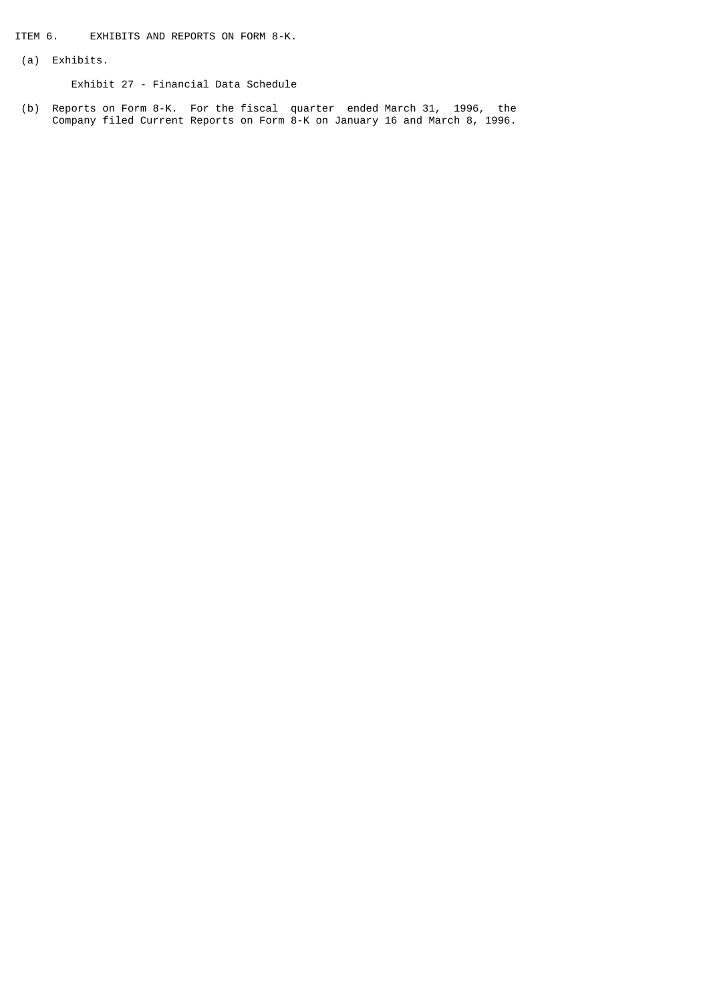## ITEM 6. EXHIBITS AND REPORTS ON FORM 8-K.

(a) Exhibits.

Exhibit 27 - Financial Data Schedule

 (b) Reports on Form 8-K. For the fiscal quarter ended March 31, 1996, the Company filed Current Reports on Form 8-K on January 16 and March 8, 1996.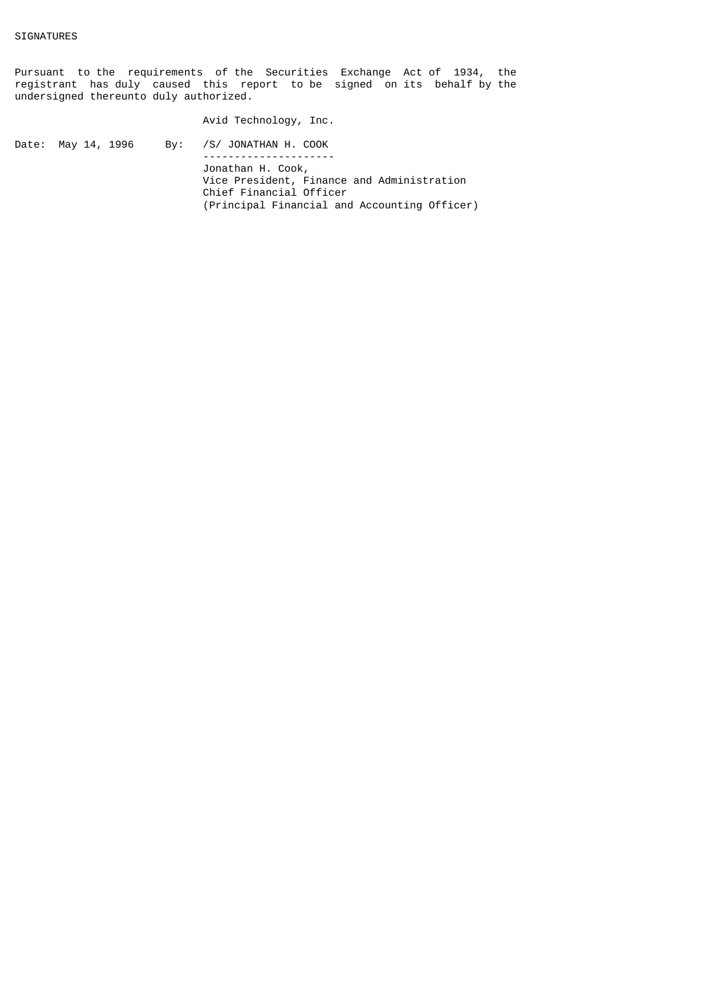Pursuant to the requirements of the Securities Exchange Act of 1934, the registrant has duly caused this report to be signed on its behalf by the undersigned thereunto duly authorized.

Avid Technology, Inc.

Date: May 14, 1996 By: /S/ JONATHAN H. COOK --------------------- Jonathan H. Cook, Vice President, Finance and Administration Chief Financial Officer (Principal Financial and Accounting Officer)